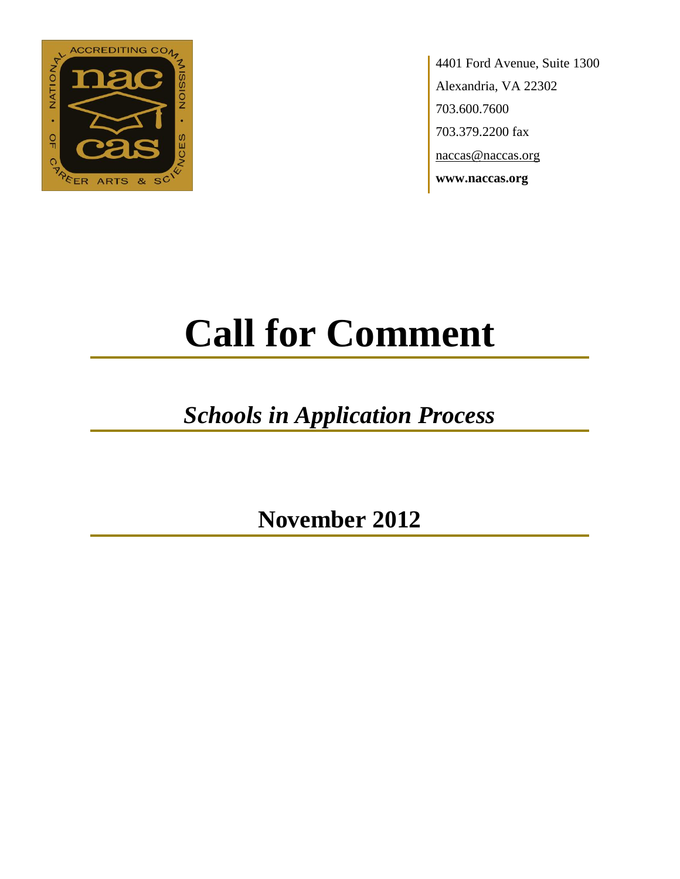

4401 Ford Avenue, Suite 1300 Alexandria, VA 22302 703.600.7600 703.379.2200 fax naccas@naccas.org **www.naccas.org**

# **Call for Comment**

## *Schools in Application Process*

**November 2012**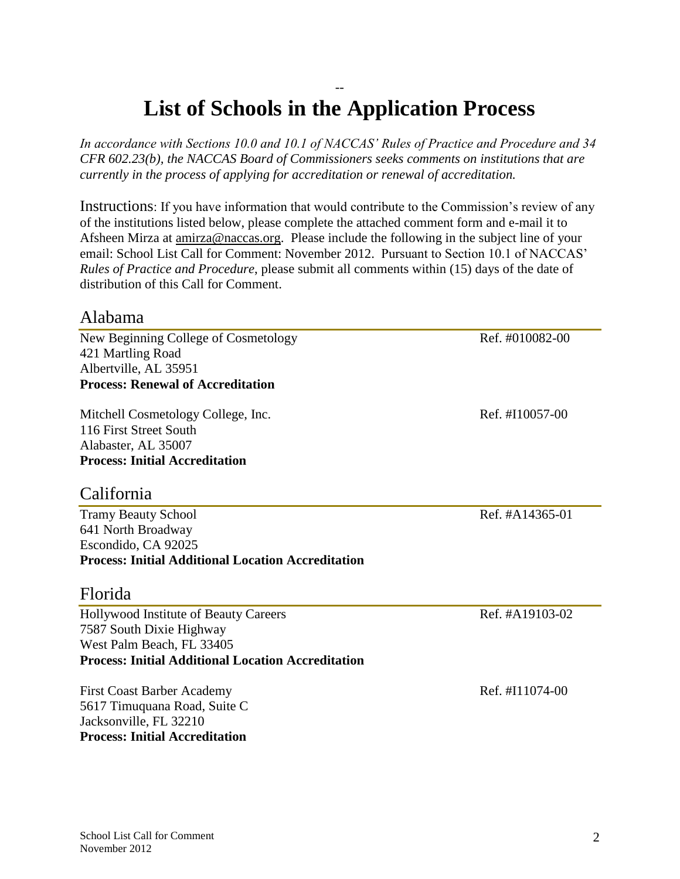### Instructions: If you have information that would contribute to the Commission's review of any

*currently in the process of applying for accreditation or renewal of accreditation.*

of the institutions listed below, please complete the attached comment form and e-mail it to Afsheen Mirza at [amirza@naccas.org.](mailto:amirza@naccas.org) Please include the following in the subject line of your email: School List Call for Comment: November 2012. Pursuant to Section 10.1 of NACCAS' *Rules of Practice and Procedure*, please submit all comments within (15) days of the date of distribution of this Call for Comment.

-- **List of Schools in the Application Process**

*In accordance with Sections 10.0 and 10.1 of NACCAS' Rules of Practice and Procedure and 34 CFR 602.23(b), the NACCAS Board of Commissioners seeks comments on institutions that are* 

#### Alabama

New Beginning College of Cosmetology Ref. #010082-00 421 Martling Road Albertville, AL 35951 **Process: Renewal of Accreditation**

Mitchell Cosmetology College, Inc. Ref. #I10057-00 116 First Street South Alabaster, AL 35007 **Process: Initial Accreditation**

#### California

Tramy Beauty School Ref. #A14365-01 641 North Broadway Escondido, CA 92025 **Process: Initial Additional Location Accreditation**

#### Florida

Hollywood Institute of Beauty Careers Ref. #A19103-02 7587 South Dixie Highway West Palm Beach, FL 33405 **Process: Initial Additional Location Accreditation**

First Coast Barber Academy **Ref.** #I11074-00 5617 Timuquana Road, Suite C Jacksonville, FL 32210 **Process: Initial Accreditation**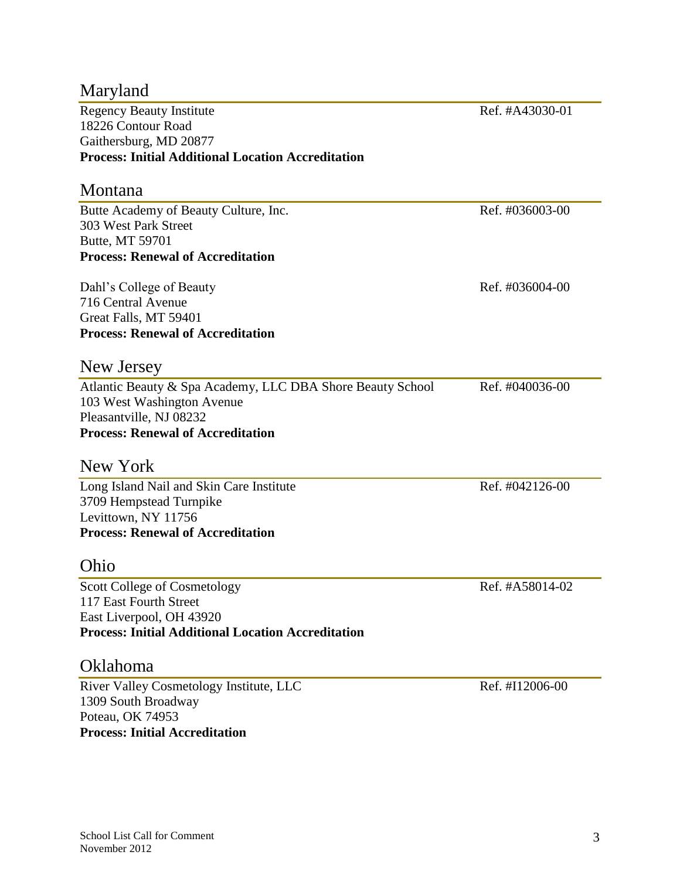| Maryland                                                   |                 |
|------------------------------------------------------------|-----------------|
| <b>Regency Beauty Institute</b>                            | Ref. #A43030-01 |
| 18226 Contour Road                                         |                 |
| Gaithersburg, MD 20877                                     |                 |
| <b>Process: Initial Additional Location Accreditation</b>  |                 |
| Montana                                                    |                 |
| Butte Academy of Beauty Culture, Inc.                      | Ref. #036003-00 |
| 303 West Park Street                                       |                 |
| Butte, MT 59701                                            |                 |
| <b>Process: Renewal of Accreditation</b>                   |                 |
| Dahl's College of Beauty                                   | Ref. #036004-00 |
| 716 Central Avenue                                         |                 |
| Great Falls, MT 59401                                      |                 |
| <b>Process: Renewal of Accreditation</b>                   |                 |
| New Jersey                                                 |                 |
| Atlantic Beauty & Spa Academy, LLC DBA Shore Beauty School | Ref. #040036-00 |
| 103 West Washington Avenue                                 |                 |
| Pleasantville, NJ 08232                                    |                 |
| <b>Process: Renewal of Accreditation</b>                   |                 |
| New York                                                   |                 |
| Long Island Nail and Skin Care Institute                   | Ref. #042126-00 |
| 3709 Hempstead Turnpike                                    |                 |
| Levittown, NY 11756                                        |                 |
| <b>Process: Renewal of Accreditation</b>                   |                 |
| Ohio                                                       |                 |
| <b>Scott College of Cosmetology</b>                        | Ref. #A58014-02 |
| 117 East Fourth Street                                     |                 |
| East Liverpool, OH 43920                                   |                 |
| <b>Process: Initial Additional Location Accreditation</b>  |                 |
| Oklahoma                                                   |                 |
| River Valley Cosmetology Institute, LLC                    | Ref. #I12006-00 |
| 1309 South Broadway                                        |                 |
| Poteau, OK 74953                                           |                 |
| <b>Process: Initial Accreditation</b>                      |                 |
|                                                            |                 |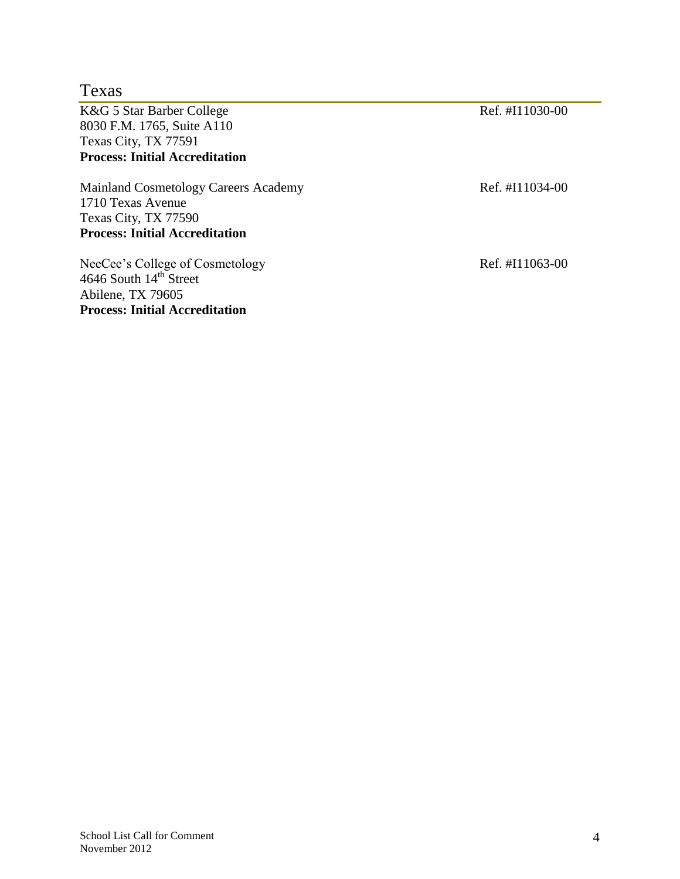| Texas                                                                 |                 |
|-----------------------------------------------------------------------|-----------------|
| K&G 5 Star Barber College                                             | Ref. #I11030-00 |
| 8030 F.M. 1765, Suite A110                                            |                 |
| Texas City, TX 77591                                                  |                 |
| <b>Process: Initial Accreditation</b>                                 |                 |
| Mainland Cosmetology Careers Academy                                  | Ref. #I11034-00 |
| 1710 Texas Avenue                                                     |                 |
| Texas City, TX 77590                                                  |                 |
| <b>Process: Initial Accreditation</b>                                 |                 |
| NeeCee's College of Cosmetology<br>4646 South 14 <sup>th</sup> Street | Ref. #I11063-00 |

Abilene, TX 79605

**Process: Initial Accreditation**